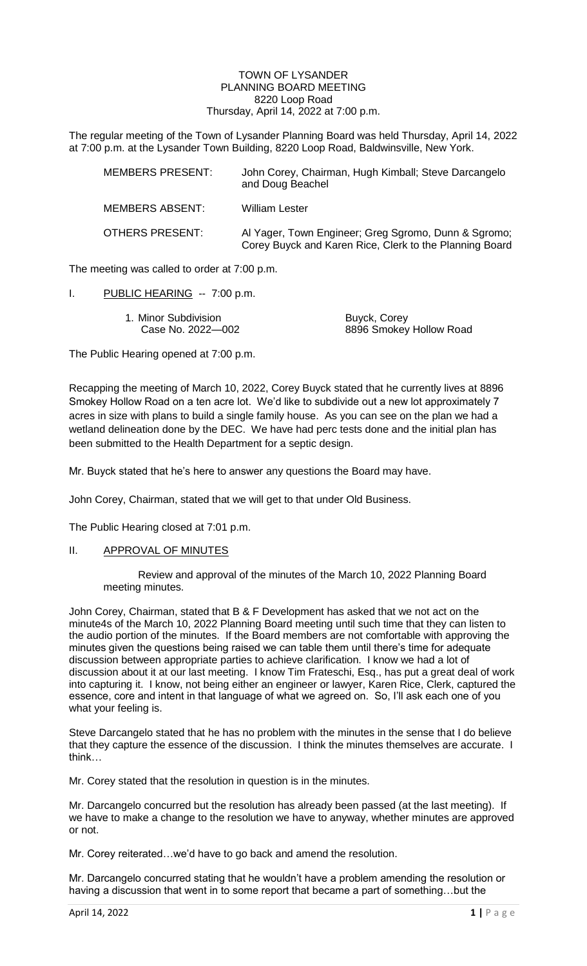### TOWN OF LYSANDER PLANNING BOARD MEETING 8220 Loop Road Thursday, April 14, 2022 at 7:00 p.m.

The regular meeting of the Town of Lysander Planning Board was held Thursday, April 14, 2022 at 7:00 p.m. at the Lysander Town Building, 8220 Loop Road, Baldwinsville, New York.

| <b>MEMBERS PRESENT:</b> | John Corey, Chairman, Hugh Kimball; Steve Darcangelo<br>and Doug Beachel                                        |
|-------------------------|-----------------------------------------------------------------------------------------------------------------|
| <b>MEMBERS ABSENT:</b>  | <b>William Lester</b>                                                                                           |
| OTHERS PRESENT:         | Al Yager, Town Engineer; Greg Sgromo, Dunn & Sgromo;<br>Corey Buyck and Karen Rice, Clerk to the Planning Board |

The meeting was called to order at 7:00 p.m.

I. PUBLIC HEARING -- 7:00 p.m.

| 1. Minor Subdivision | Buyck, Corey            |
|----------------------|-------------------------|
| Case No. 2022-002    | 8896 Smokey Hollow Road |

The Public Hearing opened at 7:00 p.m.

Recapping the meeting of March 10, 2022, Corey Buyck stated that he currently lives at 8896 Smokey Hollow Road on a ten acre lot. We'd like to subdivide out a new lot approximately 7 acres in size with plans to build a single family house. As you can see on the plan we had a wetland delineation done by the DEC. We have had perc tests done and the initial plan has been submitted to the Health Department for a septic design.

Mr. Buyck stated that he's here to answer any questions the Board may have.

John Corey, Chairman, stated that we will get to that under Old Business.

The Public Hearing closed at 7:01 p.m.

## II. APPROVAL OF MINUTES

Review and approval of the minutes of the March 10, 2022 Planning Board meeting minutes.

John Corey, Chairman, stated that B & F Development has asked that we not act on the minute4s of the March 10, 2022 Planning Board meeting until such time that they can listen to the audio portion of the minutes. If the Board members are not comfortable with approving the minutes given the questions being raised we can table them until there's time for adequate discussion between appropriate parties to achieve clarification. I know we had a lot of discussion about it at our last meeting. I know Tim Frateschi, Esq., has put a great deal of work into capturing it. I know, not being either an engineer or lawyer, Karen Rice, Clerk, captured the essence, core and intent in that language of what we agreed on. So, I'll ask each one of you what your feeling is.

Steve Darcangelo stated that he has no problem with the minutes in the sense that I do believe that they capture the essence of the discussion. I think the minutes themselves are accurate. I think…

Mr. Corey stated that the resolution in question is in the minutes.

Mr. Darcangelo concurred but the resolution has already been passed (at the last meeting). If we have to make a change to the resolution we have to anyway, whether minutes are approved or not.

Mr. Corey reiterated…we'd have to go back and amend the resolution.

Mr. Darcangelo concurred stating that he wouldn't have a problem amending the resolution or having a discussion that went in to some report that became a part of something...but the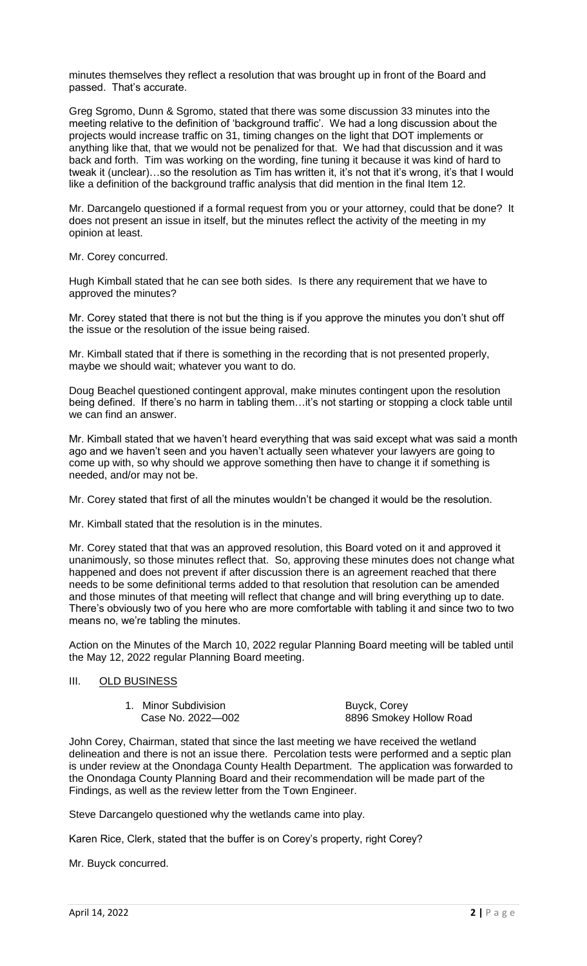minutes themselves they reflect a resolution that was brought up in front of the Board and passed. That's accurate.

Greg Sgromo, Dunn & Sgromo, stated that there was some discussion 33 minutes into the meeting relative to the definition of 'background traffic'. We had a long discussion about the projects would increase traffic on 31, timing changes on the light that DOT implements or anything like that, that we would not be penalized for that. We had that discussion and it was back and forth. Tim was working on the wording, fine tuning it because it was kind of hard to tweak it (unclear)...so the resolution as Tim has written it, it's not that it's wrong, it's that I would like a definition of the background traffic analysis that did mention in the final Item 12.

Mr. Darcangelo questioned if a formal request from you or your attorney, could that be done? It does not present an issue in itself, but the minutes reflect the activity of the meeting in my opinion at least.

Mr. Corey concurred.

Hugh Kimball stated that he can see both sides. Is there any requirement that we have to approved the minutes?

Mr. Corey stated that there is not but the thing is if you approve the minutes you don't shut off the issue or the resolution of the issue being raised.

Mr. Kimball stated that if there is something in the recording that is not presented properly, maybe we should wait; whatever you want to do.

Doug Beachel questioned contingent approval, make minutes contingent upon the resolution being defined. If there's no harm in tabling them…it's not starting or stopping a clock table until we can find an answer.

Mr. Kimball stated that we haven't heard everything that was said except what was said a month ago and we haven't seen and you haven't actually seen whatever your lawyers are going to come up with, so why should we approve something then have to change it if something is needed, and/or may not be.

Mr. Corey stated that first of all the minutes wouldn't be changed it would be the resolution.

Mr. Kimball stated that the resolution is in the minutes.

Mr. Corey stated that that was an approved resolution, this Board voted on it and approved it unanimously, so those minutes reflect that. So, approving these minutes does not change what happened and does not prevent if after discussion there is an agreement reached that there needs to be some definitional terms added to that resolution that resolution can be amended and those minutes of that meeting will reflect that change and will bring everything up to date. There's obviously two of you here who are more comfortable with tabling it and since two to two means no, we're tabling the minutes.

Action on the Minutes of the March 10, 2022 regular Planning Board meeting will be tabled until the May 12, 2022 regular Planning Board meeting.

# III. OLD BUSINESS

1. Minor Subdivision **Buyck, Corey** 

Case No. 2022—002 8896 Smokey Hollow Road

John Corey, Chairman, stated that since the last meeting we have received the wetland delineation and there is not an issue there. Percolation tests were performed and a septic plan is under review at the Onondaga County Health Department. The application was forwarded to the Onondaga County Planning Board and their recommendation will be made part of the Findings, as well as the review letter from the Town Engineer.

Steve Darcangelo questioned why the wetlands came into play.

Karen Rice, Clerk, stated that the buffer is on Corey's property, right Corey?

Mr. Buyck concurred.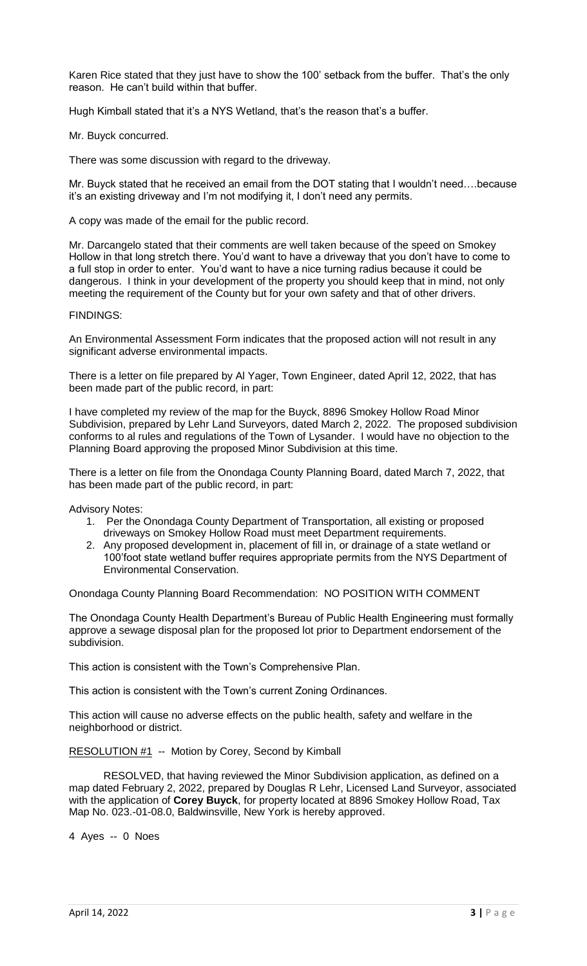Karen Rice stated that they just have to show the 100' setback from the buffer. That's the only reason. He can't build within that buffer.

Hugh Kimball stated that it's a NYS Wetland, that's the reason that's a buffer.

### Mr. Buyck concurred.

There was some discussion with regard to the driveway.

Mr. Buyck stated that he received an email from the DOT stating that I wouldn't need….because it's an existing driveway and I'm not modifying it, I don't need any permits.

A copy was made of the email for the public record.

Mr. Darcangelo stated that their comments are well taken because of the speed on Smokey Hollow in that long stretch there. You'd want to have a driveway that you don't have to come to a full stop in order to enter. You'd want to have a nice turning radius because it could be dangerous. I think in your development of the property you should keep that in mind, not only meeting the requirement of the County but for your own safety and that of other drivers.

#### FINDINGS:

An Environmental Assessment Form indicates that the proposed action will not result in any significant adverse environmental impacts.

There is a letter on file prepared by Al Yager, Town Engineer, dated April 12, 2022, that has been made part of the public record, in part:

I have completed my review of the map for the Buyck, 8896 Smokey Hollow Road Minor Subdivision, prepared by Lehr Land Surveyors, dated March 2, 2022. The proposed subdivision conforms to al rules and regulations of the Town of Lysander. I would have no objection to the Planning Board approving the proposed Minor Subdivision at this time.

There is a letter on file from the Onondaga County Planning Board, dated March 7, 2022, that has been made part of the public record, in part:

Advisory Notes:

- 1. Per the Onondaga County Department of Transportation, all existing or proposed driveways on Smokey Hollow Road must meet Department requirements.
- 2. Any proposed development in, placement of fill in, or drainage of a state wetland or 100'foot state wetland buffer requires appropriate permits from the NYS Department of Environmental Conservation.

Onondaga County Planning Board Recommendation: NO POSITION WITH COMMENT

The Onondaga County Health Department's Bureau of Public Health Engineering must formally approve a sewage disposal plan for the proposed lot prior to Department endorsement of the subdivision.

This action is consistent with the Town's Comprehensive Plan.

This action is consistent with the Town's current Zoning Ordinances.

This action will cause no adverse effects on the public health, safety and welfare in the neighborhood or district.

RESOLUTION #1 -- Motion by Corey, Second by Kimball

RESOLVED, that having reviewed the Minor Subdivision application, as defined on a map dated February 2, 2022, prepared by Douglas R Lehr, Licensed Land Surveyor, associated with the application of **Corey Buyck**, for property located at 8896 Smokey Hollow Road, Tax Map No. 023.-01-08.0, Baldwinsville, New York is hereby approved.

4 Ayes -- 0 Noes